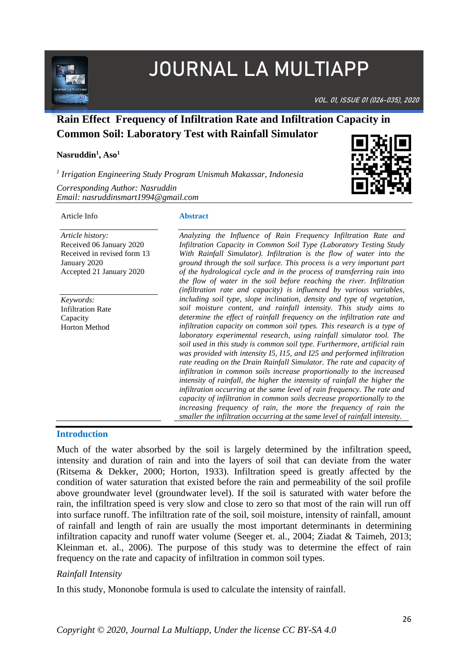

# JOURNAL LA MULTIAPP

VOL. 01, ISSUE 01 (026-035), 2020

# **Rain Effect Frequency of Infiltration Rate and Infiltration Capacity in Common Soil: Laboratory Test with Rainfall Simulator**

#### **Nasruddin<sup>1</sup> , Aso<sup>1</sup>**

*1 Irrigation Engineering Study Program Unismuh Makassar, Indonesia*

*Corresponding Author: Nasruddin Email: nasruddinsmart1994@gmail.com*

#### Article Info

*Article history:*  Received 06 January 2020 Received in revised form 13 January 2020 Accepted 21 January 2020

*Keywords:* Infiltration Rate Capacity Horton Method

# **Abstract**

*Analyzing the Influence of Rain Frequency Infiltration Rate and Infiltration Capacity in Common Soil Type (Laboratory Testing Study With Rainfall Simulator). Infiltration is the flow of water into the ground through the soil surface. This process is a very important part of the hydrological cycle and in the process of transferring rain into the flow of water in the soil before reaching the river. Infiltration (infiltration rate and capacity) is influenced by various variables, including soil type, slope inclination, density and type of vegetation, soil moisture content, and rainfall intensity. This study aims to determine the effect of rainfall frequency on the infiltration rate and infiltration capacity on common soil types. This research is a type of laboratory experimental research, using rainfall simulator tool. The soil used in this study is common soil type. Furthermore, artificial rain was provided with intensity I5, I15, and I25 and performed infiltration rate reading on the Drain Rainfall Simulator. The rate and capacity of infiltration in common soils increase proportionally to the increased intensity of rainfall, the higher the intensity of rainfall the higher the infiltration occurring at the same level of rain frequency. The rate and capacity of infiltration in common soils decrease proportionally to the increasing frequency of rain, the more the frequency of rain the smaller the infiltration occurring at the same level of rainfall intensity.*

#### **Introduction**

Much of the water absorbed by the soil is largely determined by the infiltration speed, intensity and duration of rain and into the layers of soil that can deviate from the water (Ritsema & Dekker, 2000; Horton, 1933). Infiltration speed is greatly affected by the condition of water saturation that existed before the rain and permeability of the soil profile above groundwater level (groundwater level). If the soil is saturated with water before the rain, the infiltration speed is very slow and close to zero so that most of the rain will run off into surface runoff. The infiltration rate of the soil, soil moisture, intensity of rainfall, amount of rainfall and length of rain are usually the most important determinants in determining infiltration capacity and runoff water volume (Seeger et. al., 2004; Ziadat & Taimeh, 2013; Kleinman et. al., 2006). The purpose of this study was to determine the effect of rain frequency on the rate and capacity of infiltration in common soil types.

# *Rainfall Intensity*

In this study, Mononobe formula is used to calculate the intensity of rainfall.

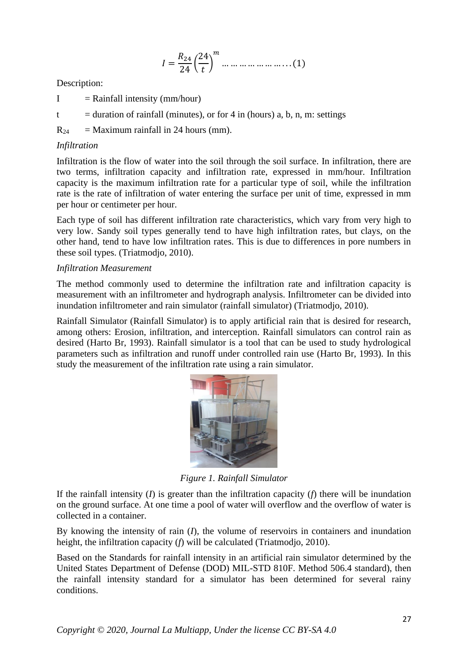$$
I = \frac{R_{24}}{24} \left(\frac{24}{t}\right)^m \dots \dots \dots \dots \dots \dots \dots \dots (1)
$$

Description:

- $I =$ Rainfall intensity (mm/hour)
- t  $=$  duration of rainfall (minutes), or for 4 in (hours) a, b, n, m: settings

 $R_{24}$  = Maximum rainfall in 24 hours (mm).

# *Infiltration*

Infiltration is the flow of water into the soil through the soil surface. In infiltration, there are two terms, infiltration capacity and infiltration rate, expressed in mm/hour. Infiltration capacity is the maximum infiltration rate for a particular type of soil, while the infiltration rate is the rate of infiltration of water entering the surface per unit of time, expressed in mm per hour or centimeter per hour.

Each type of soil has different infiltration rate characteristics, which vary from very high to very low. Sandy soil types generally tend to have high infiltration rates, but clays, on the other hand, tend to have low infiltration rates. This is due to differences in pore numbers in these soil types. (Triatmodjo, 2010).

# *Infiltration Measurement*

The method commonly used to determine the infiltration rate and infiltration capacity is measurement with an infiltrometer and hydrograph analysis. Infiltrometer can be divided into inundation infiltrometer and rain simulator (rainfall simulator) (Triatmodjo, 2010).

Rainfall Simulator (Rainfall Simulator) is to apply artificial rain that is desired for research, among others: Erosion, infiltration, and interception. Rainfall simulators can control rain as desired (Harto Br, 1993). Rainfall simulator is a tool that can be used to study hydrological parameters such as infiltration and runoff under controlled rain use (Harto Br, 1993). In this study the measurement of the infiltration rate using a rain simulator.



*Figure 1. Rainfall Simulator*

If the rainfall intensity (*I*) is greater than the infiltration capacity (*f*) there will be inundation on the ground surface. At one time a pool of water will overflow and the overflow of water is collected in a container.

By knowing the intensity of rain (*I*), the volume of reservoirs in containers and inundation height, the infiltration capacity (*f*) will be calculated (Triatmodjo, 2010).

Based on the Standards for rainfall intensity in an artificial rain simulator determined by the United States Department of Defense (DOD) MIL-STD 810F. Method 506.4 standard), then the rainfall intensity standard for a simulator has been determined for several rainy conditions.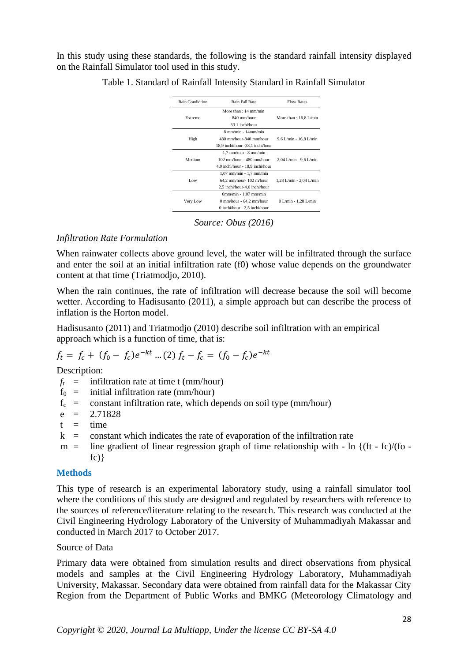In this study using these standards, the following is the standard rainfall intensity displayed on the Rainfall Simulator tool used in this study.

| <b>Rain Condidtion</b> | Rain Fall Rate                   | <b>Flow Rates</b>       |
|------------------------|----------------------------------|-------------------------|
|                        | More than $: 14$ mm/min          |                         |
| Extreme                | 840 mm/hour                      | More than: $16,8$ L/min |
|                        | 33.1 inchi/hour                  |                         |
|                        | $8$ mm/min - $14$ mm/min         |                         |
| High                   | 480 mm/hour-840 mm/hour          | 9,6 L/min - 16,8 L/min  |
|                        | 18,9 inchi/hour -33,1 inchi/hour |                         |
|                        | $1.7$ mm/min - 8 mm/min          |                         |
| Medium                 | 102 mm/hour - 480 mm/hour        | 2,04 L/min - 9,6 L/min  |
|                        | 4,0 inchi/hour - 18,9 inchi/hour |                         |
|                        | $1,07$ mm/min - $1,7$ mm/min     |                         |
| Low                    | 64,2 mm/hour-102 m/hour          | 1,28 L/min - 2,04 L/min |
|                        | 2,5 inchi/hour-4,0 inchi/hour    |                         |
|                        | $0mm/min - 1,07mm/min$           |                         |
| Very Low               | 0 mm/hour - 64,2 mm/hour         | 0 L/min - 1,28 L/min    |
|                        | 0 inchi/hour $-2,5$ inchi/hour   |                         |

Table 1. Standard of Rainfall Intensity Standard in Rainfall Simulator

*Source: Obus (2016)*

# *Infiltration Rate Formulation*

When rainwater collects above ground level, the water will be infiltrated through the surface and enter the soil at an initial infiltration rate (f0) whose value depends on the groundwater content at that time (Triatmodjo, 2010).

When the rain continues, the rate of infiltration will decrease because the soil will become wetter. According to Hadisusanto (2011), a simple approach but can describe the process of inflation is the Horton model.

Hadisusanto (2011) and Triatmodjo (2010) describe soil infiltration with an empirical approach which is a function of time, that is:

$$
f_t = f_c + (f_0 - f_c)e^{-kt} \dots (2) f_t - f_c = (f_0 - f_c)e^{-kt}
$$

Description:

- $f_t$  = infiltration rate at time t (mm/hour)
- $f_0$  = initial infiltration rate (mm/hour)
- $f_c$  = constant infiltration rate, which depends on soil type (mm/hour)
- $e = 2.71828$
- $t = time$
- $k =$  constant which indicates the rate of evaporation of the infiltration rate
- $m =$  line gradient of linear regression graph of time relationship with ln  $\{(ft fc)/(fo$  $f(c)$

# **Methods**

This type of research is an experimental laboratory study, using a rainfall simulator tool where the conditions of this study are designed and regulated by researchers with reference to the sources of reference/literature relating to the research. This research was conducted at the Civil Engineering Hydrology Laboratory of the University of Muhammadiyah Makassar and conducted in March 2017 to October 2017.

# Source of Data

Primary data were obtained from simulation results and direct observations from physical models and samples at the Civil Engineering Hydrology Laboratory, Muhammadiyah University, Makassar. Secondary data were obtained from rainfall data for the Makassar City Region from the Department of Public Works and BMKG (Meteorology Climatology and

*Copyright © 2020, Journal La Multiapp, Under the license CC BY-SA 4.0*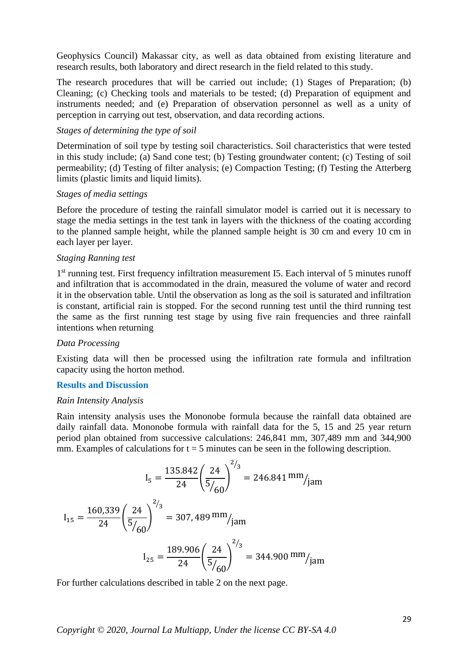Geophysics Council) Makassar city, as well as data obtained from existing literature and research results, both laboratory and direct research in the field related to this study.

The research procedures that will be carried out include; (1) Stages of Preparation; (b) Cleaning; (c) Checking tools and materials to be tested; (d) Preparation of equipment and instruments needed; and (e) Preparation of observation personnel as well as a unity of perception in carrying out test, observation, and data recording actions.

#### *Stages of determining the type of soil*

Determination of soil type by testing soil characteristics. Soil characteristics that were tested in this study include; (a) Sand cone test; (b) Testing groundwater content; (c) Testing of soil permeability; (d) Testing of filter analysis; (e) Compaction Testing; (f) Testing the Atterberg limits (plastic limits and liquid limits).

#### *Stages of media settings*

Before the procedure of testing the rainfall simulator model is carried out it is necessary to stage the media settings in the test tank in layers with the thickness of the coating according to the planned sample height, while the planned sample height is 30 cm and every 10 cm in each layer per layer.

#### *Staging Ranning test*

1<sup>st</sup> running test. First frequency infiltration measurement I5. Each interval of 5 minutes runoff and infiltration that is accommodated in the drain, measured the volume of water and record it in the observation table. Until the observation as long as the soil is saturated and infiltration is constant, artificial rain is stopped. For the second running test until the third running test the same as the first running test stage by using five rain frequencies and three rainfall intentions when returning

#### *Data Processing*

Existing data will then be processed using the infiltration rate formula and infiltration capacity using the horton method.

# **Results and Discussion**

#### *Rain Intensity Analysis*

Rain intensity analysis uses the Mononobe formula because the rainfall data obtained are daily rainfall data. Mononobe formula with rainfall data for the 5, 15 and 25 year return period plan obtained from successive calculations: 246,841 mm, 307,489 mm and 344,900 mm. Examples of calculations for  $t = 5$  minutes can be seen in the following description.

$$
I_5 = \frac{135.842}{24} \left(\frac{24}{5/60}\right)^{2/3} = 246.841 \text{ mm}/\text{jam}
$$

$$
I_{15} = \frac{160,339}{24} \left(\frac{24}{5/60}\right)^{2/3} = 307,489 \text{ mm}/\text{jam}
$$

$$
I_{25} = \frac{189.906}{24} \left(\frac{24}{5/60}\right)^{2/3} = 344.900 \text{ mm}/\text{jam}
$$

For further calculations described in table 2 on the next page.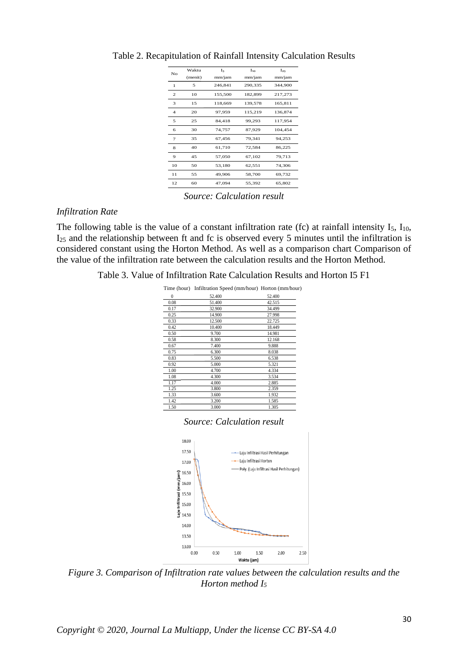| No             | Waktu   | I <sub>5</sub> | $I_{10}$ | $I_{25}$ |
|----------------|---------|----------------|----------|----------|
|                | (menit) | mm/jam         | mm/jam   | mm/jam   |
| 1              | 5       | 246,841        | 290,335  | 344,900  |
| 2              | 10      | 155,500        | 182,899  | 217,273  |
| 3              | 15      | 118,669        | 139,578  | 165,811  |
| $\overline{4}$ | 20      | 97,959         | 115,219  | 136,874  |
| 5              | 25      | 84,418         | 99,293   | 117,954  |
| 6              | 30      | 74,757         | 87,929   | 104,454  |
| 7              | 35      | 67,456         | 79.341   | 94,253   |
| 8              | 40      | 61,710         | 72,584   | 86,225   |
| 9              | 45      | 57,050         | 67,102   | 79,713   |
| 10             | 50      | 53,180         | 62,551   | 74,306   |
| 11             | 55      | 49,906         | 58,700   | 69,732   |
| 12             | 60      | 47.094         | 55,392   | 65,802   |

Table 2. Recapitulation of Rainfall Intensity Calculation Results

*Source: Calculation result*

#### *Infiltration Rate*

The following table is the value of a constant infiltration rate (fc) at rainfall intensity  $I_5$ ,  $I_{10}$ , I<sup>25</sup> and the relationship between ft and fc is observed every 5 minutes until the infiltration is considered constant using the Horton Method. As well as a comparison chart Comparison of the value of the infiltration rate between the calculation results and the Horton Method.

| Table 3. Value of Infiltration Rate Calculation Results and Horton I5 F1 |  |
|--------------------------------------------------------------------------|--|
|--------------------------------------------------------------------------|--|

|          | Time (hour) Infiltration Speed (mm/hour) Horton (mm/hour) |        |
|----------|-----------------------------------------------------------|--------|
| $\bf{0}$ | 52.400                                                    | 52.400 |
| 0.08     | 51.400                                                    | 42.515 |
| 0.17     | 32.900                                                    | 34.499 |
| 0.25     | 14.900                                                    | 27.998 |
| 0.33     | 12.500                                                    | 22.725 |
| 0.42     | 10.400                                                    | 18.449 |
| 0.50     | 9.700                                                     | 14.981 |
| 0.58     | 8.300                                                     | 12.168 |
| 0.67     | 7.400                                                     | 9.888  |
| 0.75     | 6.300                                                     | 8.038  |
| 0.83     | 5.500                                                     | 6.538  |
| 0.92     | 5.000                                                     | 5.321  |
| 1.00     | 4.700                                                     | 4.334  |
| 1.08     | 4.300                                                     | 3.534  |
| 1.17     | 4.000                                                     | 2.885  |
| 1.25     | 3.800                                                     | 2.359  |
| 1.33     | 3.600                                                     | 1.932  |
| 1.42     | 3.200                                                     | 1.585  |
| 1.50     | 3.000                                                     | 1.305  |



*Figure 3. Comparison of Infiltration rate values between the calculation results and the Horton method I<sup>5</sup>*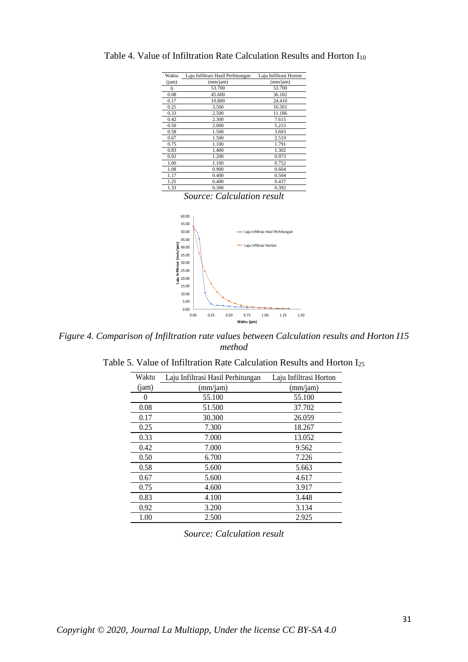| Waktu | Laju Infiltrasi Hasil Perhitungan | Laju Infiltrasi Horton |
|-------|-----------------------------------|------------------------|
| (iam) | (mm/jam)                          | (mm/jam)               |
| 0     | 53.700                            | 53.700                 |
| 0.08  | 45.600                            | 36.182                 |
| 0.17  | 10.800                            | 24.410                 |
| 0.25  | 3.500                             | 16.501                 |
| 0.33  | 2.500                             | 11.186                 |
| 0.42  | 2.300                             | 7.615                  |
| 0.50  | 2.000                             | 5.215                  |
| 0.58  | 1.500                             | 3.603                  |
| 0.67  | 1.500                             | 2.519                  |
| 0.75  | 1.100                             | 1.791                  |
| 0.83  | 1.400                             | 1.302                  |
| 0.92  | 1.200                             | 0.973                  |
| 1.00  | 1.100                             | 0.752                  |
| 1.08  | 0.900                             | 0.604                  |
| 1.17  | 0.400                             | 0.504                  |
| 1.25  | 0.400                             | 0.437                  |
| 1.33  | 0.300                             | 0.392                  |
|       |                                   |                        |

Table 4. Value of Infiltration Rate Calculation Results and Horton  $I_{10}$ 

*Source: Calculation result*



*Figure 4. Comparison of Infiltration rate values between Calculation results and Horton I15 method*

| Table 5. Value of Infiltration Rate Calculation Results and Horton $I_{25}$ |  |
|-----------------------------------------------------------------------------|--|
|-----------------------------------------------------------------------------|--|

| Waktu | Laju Infiltrasi Hasil Perhitungan | Laju Infiltrasi Horton |
|-------|-----------------------------------|------------------------|
| (iam) | (mm/jam)                          | (mm/jam)               |
|       | 55.100                            | 55.100                 |
| 0.08  | 51.500                            | 37.702                 |
| 0.17  | 30.300                            | 26.059                 |
| 0.25  | 7.300                             | 18.267                 |
| 0.33  | 7.000                             | 13.052                 |
| 0.42  | 7.000                             | 9.562                  |
| 0.50  | 6.700                             | 7.226                  |
| 0.58  | 5.600                             | 5.663                  |
| 0.67  | 5.600                             | 4.617                  |
| 0.75  | 4.600                             | 3.917                  |
| 0.83  | 4.100                             | 3.448                  |
| 0.92  | 3.200                             | 3.134                  |
| 1.00  | 2.500                             | 2.925                  |

*Source: Calculation result*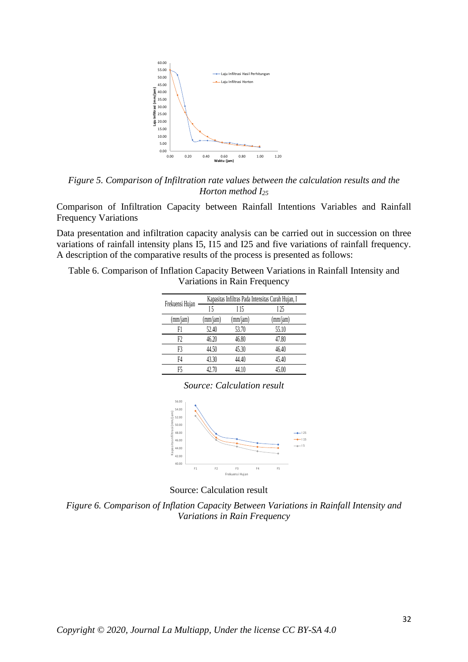

*Figure 5. Comparison of Infiltration rate values between the calculation results and the Horton method I<sup>25</sup>*

Comparison of Infiltration Capacity between Rainfall Intentions Variables and Rainfall Frequency Variations

Data presentation and infiltration capacity analysis can be carried out in succession on three variations of rainfall intensity plans I5, I15 and I25 and five variations of rainfall frequency. A description of the comparative results of the process is presented as follows:

Table 6. Comparison of Inflation Capacity Between Variations in Rainfall Intensity and Variations in Rain Frequency

|                 | Kapasitas Infiltras Pada Intensitas Curah Hujan, I |          |          |  |
|-----------------|----------------------------------------------------|----------|----------|--|
| Frekuensi Hujan | 15                                                 | I 15     | I 25     |  |
| (mm/jam)        | (mm/jam)                                           | (mm/jam) | (mm/jam) |  |
| F1              | 52.40                                              | 53.70    | 55.10    |  |
| F2              | 46.20                                              | 46.80    | 47.80    |  |
| F3              | 44.50                                              | 45.30    | 46.40    |  |
| F4              | 43.30                                              | 44.40    | 45.40    |  |
| F5              | 42.70                                              | 44.10    | 45.00    |  |





Source: Calculation result

*Figure 6. Comparison of Inflation Capacity Between Variations in Rainfall Intensity and Variations in Rain Frequency*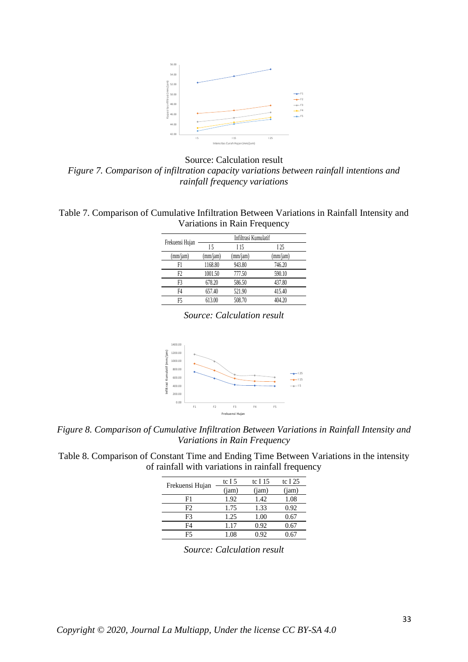

Source: Calculation result *Figure 7. Comparison of infiltration capacity variations between rainfall intentions and rainfall frequency variations*

| Table 7. Comparison of Cumulative Infiltration Between Variations in Rainfall Intensity and |                              |  |  |  |
|---------------------------------------------------------------------------------------------|------------------------------|--|--|--|
|                                                                                             | Variations in Rain Frequency |  |  |  |

| Frekuensi Hujan |          | Infiltrasi Kumulatif |          |
|-----------------|----------|----------------------|----------|
|                 | 15       | I 15                 | I 25     |
| (mm/jam)        | (mm/jam) | (mm/jam)             | (mm/jam) |
| F1              | 1168.80  | 943.80               | 746.20   |
| F2              | 1001.50  | 777.50               | 590.10   |
| F3              | 678.20   | 586.50               | 437.80   |
| F4              | 657.40   | 521.90               | 415.40   |
| F5              | 613.00   | 508.70               | 404.20   |

*Source: Calculation result*



*Figure 8. Comparison of Cumulative Infiltration Between Variations in Rainfall Intensity and Variations in Rain Frequency*

| Table 8. Comparison of Constant Time and Ending Time Between Variations in the intensity |                                                   |  |
|------------------------------------------------------------------------------------------|---------------------------------------------------|--|
|                                                                                          | of rainfall with variations in rainfall frequency |  |

| Frekuensi Hujan | tc I 5 | tc I 15 | tc I $25$ |
|-----------------|--------|---------|-----------|
|                 | (iam)  | (iam)   | (iam)     |
| F1              | 1.92   | 1.42    | 1.08      |
| F2.             | 1.75   | 1.33    | 0.92      |
| F3              | 1.25   | 1.00    | 0.67      |
| F4              | 1.17   | 0.92    | 0.67      |
| F5              | 1.08   | ን 92    |           |

*Source: Calculation result*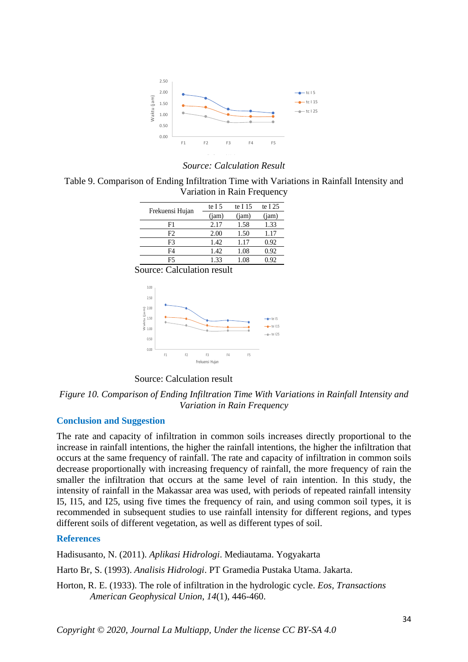

#### *Source: Calculation Result*

Table 9. Comparison of Ending Infiltration Time with Variations in Rainfall Intensity and Variation in Rain Frequency

| Frekuensi Hujan | te I $5$ | te I $15$ | te I $25$ |
|-----------------|----------|-----------|-----------|
|                 | (iam)    | (jam)     | (jam)     |
| F1              | 2.17     | 1.58      | 1.33      |
| F2              | 2.00     | 1.50      | 1.17      |
| F3              | 1.42     | 1.17      | 0.92      |
| F4              | 1.42     | 1.08      | 0.92      |
| F5              | 1.33     | 1.08      | 0.92      |

Source: Calculation result



Source: Calculation result

*Figure 10. Comparison of Ending Infiltration Time With Variations in Rainfall Intensity and Variation in Rain Frequency*

## **Conclusion and Suggestion**

The rate and capacity of infiltration in common soils increases directly proportional to the increase in rainfall intentions, the higher the rainfall intentions, the higher the infiltration that occurs at the same frequency of rainfall. The rate and capacity of infiltration in common soils decrease proportionally with increasing frequency of rainfall, the more frequency of rain the smaller the infiltration that occurs at the same level of rain intention. In this study, the intensity of rainfall in the Makassar area was used, with periods of repeated rainfall intensity I5, I15, and I25, using five times the frequency of rain, and using common soil types, it is recommended in subsequent studies to use rainfall intensity for different regions, and types different soils of different vegetation, as well as different types of soil.

#### **References**

Hadisusanto, N. (2011). *Aplikasi Hidrologi*. Mediautama. Yogyakarta

Harto Br, S. (1993). *Analisis Hidrologi*. PT Gramedia Pustaka Utama. Jakarta.

Horton, R. E. (1933). The role of infiltration in the hydrologic cycle. *Eos, Transactions American Geophysical Union*, *14*(1), 446-460.